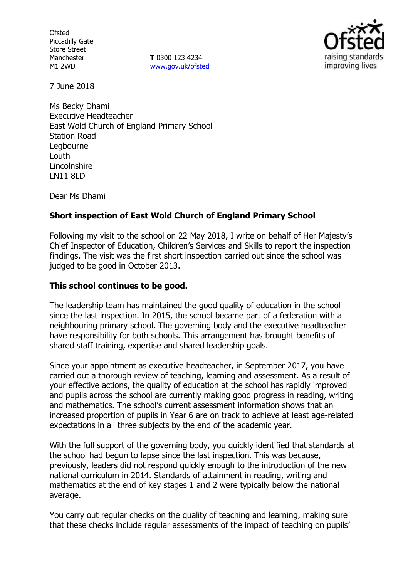**Ofsted** Piccadilly Gate Store Street Manchester M1 2WD

**T** 0300 123 4234 www.gov.uk/ofsted



7 June 2018

Ms Becky Dhami Executive Headteacher East Wold Church of England Primary School Station Road Legbourne Louth **Lincolnshire** LN11 8LD

Dear Ms Dhami

# **Short inspection of East Wold Church of England Primary School**

Following my visit to the school on 22 May 2018, I write on behalf of Her Majesty's Chief Inspector of Education, Children's Services and Skills to report the inspection findings. The visit was the first short inspection carried out since the school was judged to be good in October 2013.

### **This school continues to be good.**

The leadership team has maintained the good quality of education in the school since the last inspection. In 2015, the school became part of a federation with a neighbouring primary school. The governing body and the executive headteacher have responsibility for both schools. This arrangement has brought benefits of shared staff training, expertise and shared leadership goals.

Since your appointment as executive headteacher, in September 2017, you have carried out a thorough review of teaching, learning and assessment. As a result of your effective actions, the quality of education at the school has rapidly improved and pupils across the school are currently making good progress in reading, writing and mathematics. The school's current assessment information shows that an increased proportion of pupils in Year 6 are on track to achieve at least age-related expectations in all three subjects by the end of the academic year.

With the full support of the governing body, you quickly identified that standards at the school had begun to lapse since the last inspection. This was because, previously, leaders did not respond quickly enough to the introduction of the new national curriculum in 2014. Standards of attainment in reading, writing and mathematics at the end of key stages 1 and 2 were typically below the national average.

You carry out regular checks on the quality of teaching and learning, making sure that these checks include regular assessments of the impact of teaching on pupils'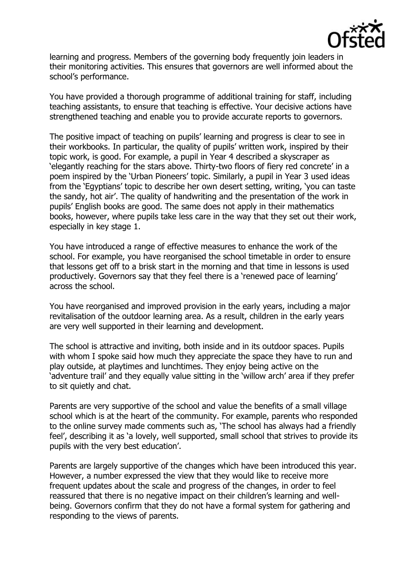

learning and progress. Members of the governing body frequently join leaders in their monitoring activities. This ensures that governors are well informed about the school's performance.

You have provided a thorough programme of additional training for staff, including teaching assistants, to ensure that teaching is effective. Your decisive actions have strengthened teaching and enable you to provide accurate reports to governors.

The positive impact of teaching on pupils' learning and progress is clear to see in their workbooks. In particular, the quality of pupils' written work, inspired by their topic work, is good. For example, a pupil in Year 4 described a skyscraper as 'elegantly reaching for the stars above. Thirty-two floors of fiery red concrete' in a poem inspired by the 'Urban Pioneers' topic. Similarly, a pupil in Year 3 used ideas from the 'Egyptians' topic to describe her own desert setting, writing, 'you can taste the sandy, hot air'. The quality of handwriting and the presentation of the work in pupils' English books are good. The same does not apply in their mathematics books, however, where pupils take less care in the way that they set out their work, especially in key stage 1.

You have introduced a range of effective measures to enhance the work of the school. For example, you have reorganised the school timetable in order to ensure that lessons get off to a brisk start in the morning and that time in lessons is used productively. Governors say that they feel there is a 'renewed pace of learning' across the school.

You have reorganised and improved provision in the early years, including a major revitalisation of the outdoor learning area. As a result, children in the early years are very well supported in their learning and development.

The school is attractive and inviting, both inside and in its outdoor spaces. Pupils with whom I spoke said how much they appreciate the space they have to run and play outside, at playtimes and lunchtimes. They enjoy being active on the 'adventure trail' and they equally value sitting in the 'willow arch' area if they prefer to sit quietly and chat.

Parents are very supportive of the school and value the benefits of a small village school which is at the heart of the community. For example, parents who responded to the online survey made comments such as, 'The school has always had a friendly feel', describing it as 'a lovely, well supported, small school that strives to provide its pupils with the very best education'.

Parents are largely supportive of the changes which have been introduced this year. However, a number expressed the view that they would like to receive more frequent updates about the scale and progress of the changes, in order to feel reassured that there is no negative impact on their children's learning and wellbeing. Governors confirm that they do not have a formal system for gathering and responding to the views of parents.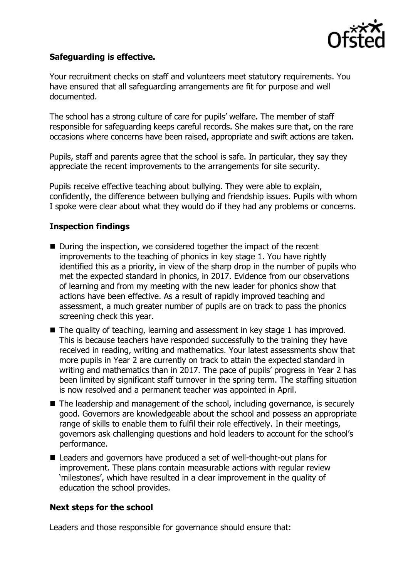

# **Safeguarding is effective.**

Your recruitment checks on staff and volunteers meet statutory requirements. You have ensured that all safeguarding arrangements are fit for purpose and well documented.

The school has a strong culture of care for pupils' welfare. The member of staff responsible for safeguarding keeps careful records. She makes sure that, on the rare occasions where concerns have been raised, appropriate and swift actions are taken.

Pupils, staff and parents agree that the school is safe. In particular, they say they appreciate the recent improvements to the arrangements for site security.

Pupils receive effective teaching about bullying. They were able to explain, confidently, the difference between bullying and friendship issues. Pupils with whom I spoke were clear about what they would do if they had any problems or concerns.

# **Inspection findings**

- During the inspection, we considered together the impact of the recent improvements to the teaching of phonics in key stage 1. You have rightly identified this as a priority, in view of the sharp drop in the number of pupils who met the expected standard in phonics, in 2017. Evidence from our observations of learning and from my meeting with the new leader for phonics show that actions have been effective. As a result of rapidly improved teaching and assessment, a much greater number of pupils are on track to pass the phonics screening check this year.
- The quality of teaching, learning and assessment in key stage 1 has improved. This is because teachers have responded successfully to the training they have received in reading, writing and mathematics. Your latest assessments show that more pupils in Year 2 are currently on track to attain the expected standard in writing and mathematics than in 2017. The pace of pupils' progress in Year 2 has been limited by significant staff turnover in the spring term. The staffing situation is now resolved and a permanent teacher was appointed in April.
- The leadership and management of the school, including governance, is securely good. Governors are knowledgeable about the school and possess an appropriate range of skills to enable them to fulfil their role effectively. In their meetings, governors ask challenging questions and hold leaders to account for the school's performance.
- Leaders and governors have produced a set of well-thought-out plans for improvement. These plans contain measurable actions with regular review 'milestones', which have resulted in a clear improvement in the quality of education the school provides.

### **Next steps for the school**

Leaders and those responsible for governance should ensure that: